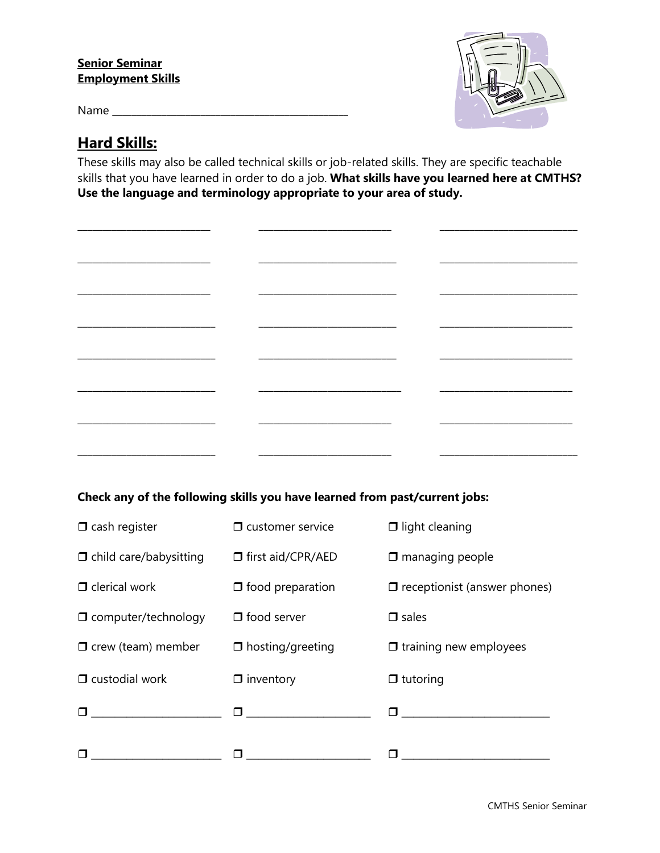#### **Senior Seminar Employment Skills**

Name \_\_\_\_\_\_\_\_\_\_\_\_\_\_\_\_\_\_\_\_\_\_\_\_\_\_\_\_\_\_\_\_\_\_\_\_\_\_\_\_\_\_\_\_\_\_\_\_

\_\_\_\_\_\_\_\_\_\_\_\_\_\_\_\_\_\_\_\_\_\_\_\_\_\_\_

 $\frac{1}{2}$  ,  $\frac{1}{2}$  ,  $\frac{1}{2}$  ,  $\frac{1}{2}$  ,  $\frac{1}{2}$  ,  $\frac{1}{2}$  ,  $\frac{1}{2}$  ,  $\frac{1}{2}$  ,  $\frac{1}{2}$  ,  $\frac{1}{2}$  ,  $\frac{1}{2}$  ,  $\frac{1}{2}$  ,  $\frac{1}{2}$  ,  $\frac{1}{2}$  ,  $\frac{1}{2}$  ,  $\frac{1}{2}$  ,  $\frac{1}{2}$  ,  $\frac{1}{2}$  ,  $\frac{1$ 

 $\mathcal{L}_\text{max}$  and  $\mathcal{L}_\text{max}$  and  $\mathcal{L}_\text{max}$ 

\_\_\_\_\_\_\_\_\_\_\_\_\_\_\_\_\_\_\_\_\_\_\_\_\_\_\_

\_\_\_\_\_\_\_\_\_\_\_\_\_\_\_\_\_\_\_\_\_\_\_\_\_\_\_\_

\_\_\_\_\_\_\_\_\_\_\_\_\_\_\_\_\_\_\_\_\_\_\_\_\_\_\_\_

\_\_\_\_\_\_\_\_\_\_\_\_\_\_\_\_\_\_\_\_\_\_\_\_\_\_\_\_

\_\_\_\_\_\_\_\_\_\_\_\_\_\_\_\_\_\_\_\_\_\_\_\_\_\_\_\_



 $\overline{\phantom{a}}$  , and the set of the set of the set of the set of the set of the set of the set of the set of the set of the set of the set of the set of the set of the set of the set of the set of the set of the set of the s

\_\_\_\_\_\_\_\_\_\_\_\_\_\_\_\_\_\_\_\_\_\_\_\_\_\_\_\_

\_\_\_\_\_\_\_\_\_\_\_\_\_\_\_\_\_\_\_\_\_\_\_\_\_\_\_\_

 $\overline{\phantom{a}}$  , where  $\overline{\phantom{a}}$  , where  $\overline{\phantom{a}}$  , where  $\overline{\phantom{a}}$ 

 $\overline{\phantom{a}}$  , where  $\overline{\phantom{a}}$  , where  $\overline{\phantom{a}}$  , where  $\overline{\phantom{a}}$ 

 $\overline{\phantom{a}}$  , where  $\overline{\phantom{a}}$  , where  $\overline{\phantom{a}}$  , where  $\overline{\phantom{a}}$ 

\_\_\_\_\_\_\_\_\_\_\_\_\_\_\_\_\_\_\_\_\_\_\_\_\_\_\_

\_\_\_\_\_\_\_\_\_\_\_\_\_\_\_\_\_\_\_\_\_\_\_\_\_\_\_\_

## **Hard Skills:**

These skills may also be called technical skills or job-related skills. They are specific teachable skills that you have learned in order to do a job. **What skills have you learned here at CMTHS? Use the language and terminology appropriate to your area of study.**

\_\_\_\_\_\_\_\_\_\_\_\_\_\_\_\_\_\_\_\_\_\_\_\_\_\_\_

 $\overline{\phantom{a}}$  , where  $\overline{\phantom{a}}$  , where  $\overline{\phantom{a}}$  , where  $\overline{\phantom{a}}$ 

\_\_\_\_\_\_\_\_\_\_\_\_\_\_\_\_\_\_\_\_\_\_\_\_\_\_\_\_

 $\overline{\phantom{a}}$  , where the contract of the contract of the contract of the contract of the contract of the contract of the contract of the contract of the contract of the contract of the contract of the contract of the contr

 $\overline{\phantom{a}}$  , where  $\overline{\phantom{a}}$  , where  $\overline{\phantom{a}}$ 

 $\frac{1}{\sqrt{2}}$  ,  $\frac{1}{\sqrt{2}}$  ,  $\frac{1}{\sqrt{2}}$  ,  $\frac{1}{\sqrt{2}}$  ,  $\frac{1}{\sqrt{2}}$  ,  $\frac{1}{\sqrt{2}}$  ,  $\frac{1}{\sqrt{2}}$  ,  $\frac{1}{\sqrt{2}}$  ,  $\frac{1}{\sqrt{2}}$  ,  $\frac{1}{\sqrt{2}}$  ,  $\frac{1}{\sqrt{2}}$  ,  $\frac{1}{\sqrt{2}}$  ,  $\frac{1}{\sqrt{2}}$  ,  $\frac{1}{\sqrt{2}}$  ,  $\frac{1}{\sqrt{2}}$ 

\_\_\_\_\_\_\_\_\_\_\_\_\_\_\_\_\_\_\_\_\_\_\_\_\_\_\_\_\_

\_\_\_\_\_\_\_\_\_\_\_\_\_\_\_\_\_\_\_\_\_\_\_\_\_\_\_

| Check any of the following skills you have learned from past/current jobs: |  |  |
|----------------------------------------------------------------------------|--|--|

| $\Box$ cash register                    | $\Box$ customer service                                                                                                                                                                                                         | $\Box$ light cleaning               |
|-----------------------------------------|---------------------------------------------------------------------------------------------------------------------------------------------------------------------------------------------------------------------------------|-------------------------------------|
| $\Box$ child care/babysitting           | □ first aid/CPR/AED                                                                                                                                                                                                             | $\Box$ managing people              |
| $\Box$ clerical work                    | $\Box$ food preparation                                                                                                                                                                                                         | $\Box$ receptionist (answer phones) |
| $\Box$ computer/technology              | $\Box$ food server                                                                                                                                                                                                              | $\Box$ sales                        |
| $\Box$ crew (team) member               | $\Box$ hosting/greeting                                                                                                                                                                                                         | $\Box$ training new employees       |
| $\square$ custodial work                | $\Box$ inventory                                                                                                                                                                                                                | $\Box$ tutoring                     |
| <u> 1989 - Johann Barbara, martin a</u> | $\Box$ and the set of the set of the set of the set of the set of the set of the set of the set of the set of the set of the set of the set of the set of the set of the set of the set of the set of the set of the set of the |                                     |
|                                         |                                                                                                                                                                                                                                 |                                     |